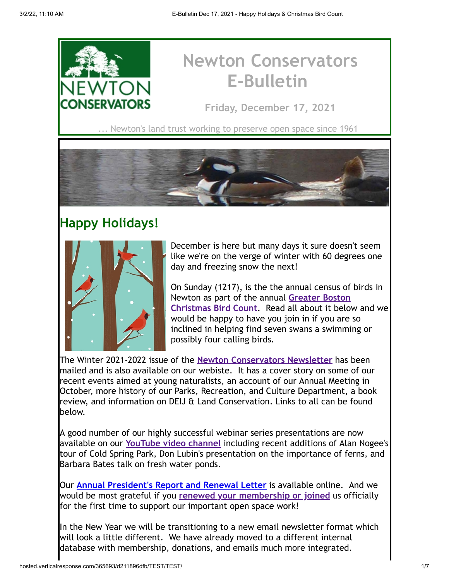

# **Newton Conservators E-Bulletin**

**Friday, December 17, 2021**

. Newton's land trust working to preserve open space since 1961



### **Happy Holidays!**



December is here but many days it sure doesn't seem like we're on the verge of winter with 60 degrees one day and freezing snow the next!

On Sunday (1217), is the the annual census of birds in [Newton as part of the annual](https://newtonconservators.org/events/christmas-bird-count-2021/) **Greater Boston Christmas Bird Count**. Read all about it below and we would be happy to have you join in if you are so inclined in helping find seven swans a swimming or possibly four calling birds.

The Winter 2021-2022 issue of the **[Newton Conservators Newsletter](https://newtonconservators.org/newsletters/)** has been mailed and is also available on our webiste. It has a cover story on some of our recent events aimed at young naturalists, an account of our Annual Meeting in October, more history of our Parks, Recreation, and Culture Department, a book review, and information on DEIJ & Land Conservation. Links to all can be found below.

A good number of our highly successful webinar series presentations are now available on our **[YouTube video channel](https://newtonconservators.org/videos/)** including recent additions of Alan Nogee's tour of Cold Spring Park, Don Lubin's presentation on the importance of ferns, and Barbara Bates talk on fresh water ponds.

Our **[Annual President's Report and Renewal Letter](https://newtonconservators.org/wp-content/uploads/2021/12/2022NC_MemRenewLetter_MEMBER_ONLINE_FINAL.pdf)** is available online. And we would be most grateful if you **[renewed your membership or joined](https://newtonconservators.org/membership/)** us officially for the first time to support our important open space work!

In the New Year we will be transitioning to a new email newsletter format which will look a little different. We have already moved to a different internal database with membership, donations, and emails much more integrated.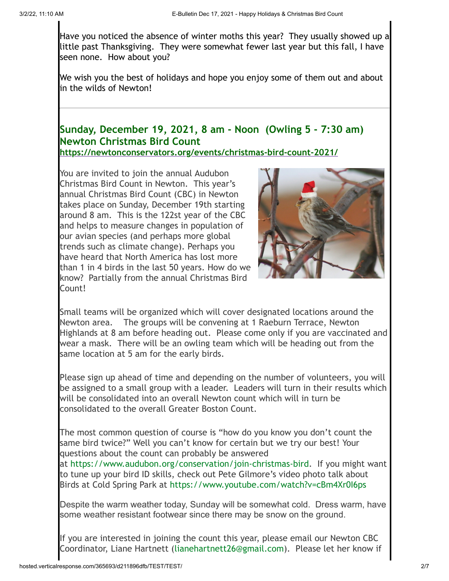Have you noticed the absence of winter moths this year? They usually showed up a little past Thanksgiving. They were somewhat fewer last year but this fall, I have seen none. How about you?

We wish you the best of holidays and hope you enjoy some of them out and about in the wilds of Newton!

#### **Sunday, December 19, 2021, 8 am - Noon (Owling 5 - 7:30 am) Newton Christmas Bird Count <https://newtonconservators.org/events/christmas-bird-count-2021/>**

You are invited to join the annual Audubon Christmas Bird Count in Newton. This year's annual Christmas Bird Count (CBC) in Newton takes place on Sunday, December 19th starting around 8 am. This is the 122st year of the CBC and helps to measure changes in population of our avian species (and perhaps more global trends such as climate change). Perhaps you have heard that North America has lost more than 1 in 4 birds in the last 50 years. How do we know? Partially from the annual Christmas Bird Count!



Small teams will be organized which will cover designated locations around the Newton area. The groups will be convening at 1 Raeburn Terrace, Newton Highlands at 8 am before heading out. Please come only if you are vaccinated and wear a mask. There will be an owling team which will be heading out from the same location at 5 am for the early birds.

Please sign up ahead of time and depending on the number of volunteers, you will be assigned to a small group with a leader. Leaders will turn in their results which will be consolidated into an overall Newton count which will in turn be consolidated to the overall Greater Boston Count.

The most common question of course is "how do you know you don't count the same bird twice?" Well you can't know for certain but we try our best! Your questions about the count can probably be answered at [https://www.audubon.org/conservation/join-christmas-bird](https://www.audubon.org/conservation/science/christmas-bird-count). If you might want to tune up your bird ID skills, check out Pete Gilmore's video photo talk about Birds at Cold Spring Park at <https://www.youtube.com/watch?v=cBm4Xr0I6ps>

Despite the warm weather today, Sunday will be somewhat cold. Dress warm, have some weather resistant footwear since there may be snow on the ground.

If you are interested in joining the count this year, please email our Newton CBC Coordinator, Liane Hartnett [\(lianehartnett26@gmail.com\)](mailto:lianehartnett26@gmail.com). Please let her know if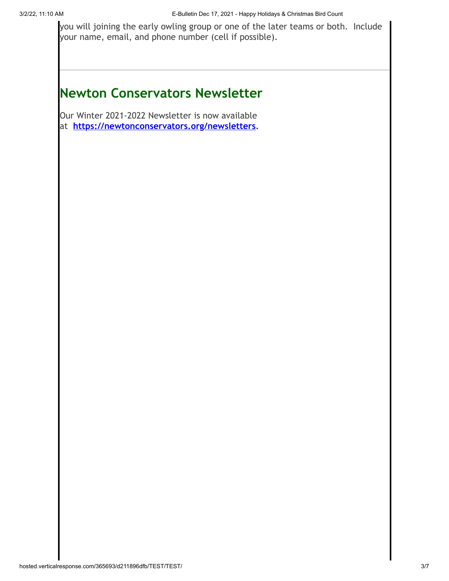you will joining the early owling group or one of the later teams or both. Include your name, email, and phone number (cell if possible).

## **Newton Conservators Newsletter**

Our Winter 2021-2022 Newsletter is now available at **<https://newtonconservators.org/newsletters>.**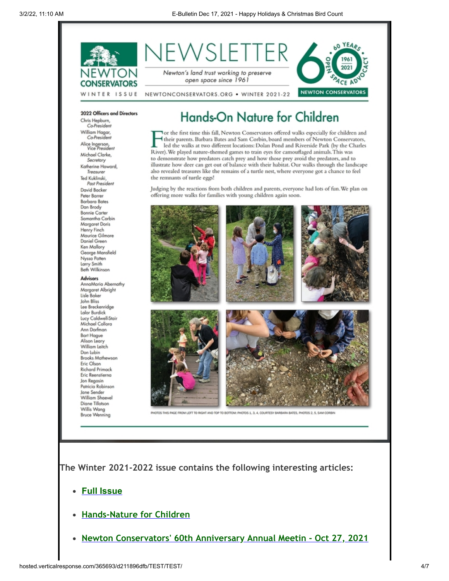

2022 Officers and Directors Chris Hepburn,

Co-President William Hagar,<br>Co-President Alice Ingerson,<br>Vice President Michael Clarke, Secretary Katherine Howard, Treasurer Ted Kuklinski, Past President David Backer Peter Barrer **Barbara Bates** Dan Brody **Bonnie Carter** Samantha Corbin Margaret Doris Henry Finch Maurice Gilmore Daniel Green Ken Mallory George Mansfield Nyssa Patten Larry Smith<br>Beth Wilkinson

**Advisors** AnnaMaria Abernathy Margaret Albright Lisle Baker John Bliss Lee Breckenridge Lalor Burdick Lucy Caldwell-Stair Michael Collora Ann Dorfman **Bart Hague** Alison Leary William Leitch Don Lubin **Brooks Mathewson** Eric Olson **Richard Primack** Eric Reenstierna Jon Regosin Patricia Robinson Jane Sender William Shaevel Diane Tillotson Willis Wang **Bruce Wenning** 

### Hands-On Nature for Children

Tor the first time this fall, Newton Conservators offered walks especially for children and their parents. Barbara Bates and Sam Corbin, board members of Newton Conservators, led the walks at two different locations: Dolan Pond and Riverside Park (by the Charles River). We played nature-themed games to train eyes for camouflaged animals. This was to demonstrate how predators catch prey and how those prey avoid the predators, and to illustrate how deer can get out of balance with their habitat. Our walks through the landscape also revealed treasures like the remains of a turtle nest, where everyone got a chance to feel the remnants of turtle eggs!

Judging by the reactions from both children and parents, everyone had lots of fun. We plan on offering more walks for families with young children again soon.



HIS PAGE FROM LEFT TO RIGHT AND TOP TO BOTTOM: PHOTOS 1, 3, 4, COURTESY BARBARA BATES, PHOTOS 2, 5, SAM CO

**The Winter 2021-2022 issue contains the following interesting articles:**

- **[Full Issue](http://newtonconservators.org/wp-content/uploads/2021/11/Newsletter-2022-Winter-.pdf)**
- **[Hands-Nature for Children](http://newtonconservators.org/wp-content/uploads/2021/11/Newsletter-2021-Winter-Hands-on-Ntuture-with-Children.pdf)**
- **[Newton Conservators' 60th Anniversary Annual Meetin Oct 27, 2021](http://newtonconservators.org/wp-content/uploads/2021/11/Newsletter-2021-Winter-60th-Anniversary-Annual-Meeting-.pdf)**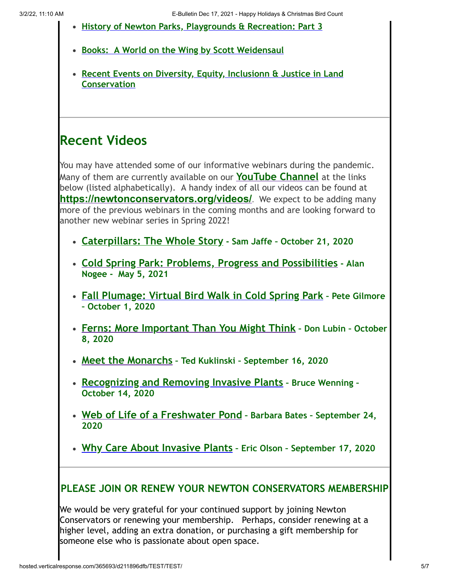- **[History of Newton Parks, Playgrounds & Recreation: Part 3](http://newtonconservators.org/wp-content/uploads/2021/11/Newsletter-2021-Winter-Newton-Parks-Playgrounds-and-Recreation-part-3.pdf)**
- **[Books: A World on the Wing by Scott Weidensaul](http://newtonconservators.org/wp-content/uploads/2021/11/Newsletter-2021-Winter-World-on-the-Wing.pdf)**
- **[Recent Events on Diversity, Equity, Inclusionn & Justice in Land](http://newtonconservators.org/wp-content/uploads/2021/11/Newsletter-2021-Winter-Diversity-Equity-Inclusion-Justice.pdf) Conservation**

#### **Recent Videos**

You may have attended some of our informative webinars during the pandemic. Many of them are currently available on our **[YouTube Channel](https://www.youtube.com/channel/UCjTfS6jjmO6DB5gUS2Miv6w/videos?view=0&sort=dd)** at the links below (listed alphabetically). A handy index of all our videos can be found at **<https://newtonconservators.org/videos/>**. We expect to be adding many more of the previous webinars in the coming months and are looking forward to another new webinar series in Spring 2022!

- **[Caterpillars: The Whole Story](https://www.youtube.com/watch?v=zJCwID1yLaU&t=26s) Sam Jaffe October 21, 2020**
- **[Cold Spring Park: Problems, Progress and Possibilities](https://www.youtube.com/watch?v=Q-UbECAF9Pk&t=2s) Alan Nogee - May 5, 2021**
- **[Fall Plumage: Virtual Bird Walk in Cold Spring Park](https://www.youtube.com/watch?v=cBm4Xr0I6ps&t=1848s) Pete Gilmore – October 1, 2020**
- **[Ferns: More Important Than You Might Think](https://www.youtube.com/watch?v=O_vAR_KXzMk&t=2s) Don Lubin October 8, 2020**
- **[Meet the Monarchs](https://www.youtube.com/watch?v=OykHgdR6o88) Ted Kuklinski September 16, 2020**
- **[Recognizing and Removing Invasive Plants](https://www.youtube.com/watch?v=ZgVGcQjzDqw) Bruce Wenning – October 14, 2020**
- **[Web of Life of a Freshwater Pond](https://www.youtube.com/watch?v=sszUBGCRrhA) Barbara Bates September 24, 2020**
- **[Why Care About Invasive Plants](https://www.youtube.com/watch?v=LvkJOy76xxM&t=231) Eric Olson September 17, 2020**

#### **PLEASE JOIN OR RENEW YOUR NEWTON CONSERVATORS MEMBERSHIP**

We would be very grateful for your continued support by joining Newton Conservators or renewing your membership. Perhaps, consider renewing at a higher level, adding an extra donation, or purchasing a gift membership for someone else who is passionate about open space.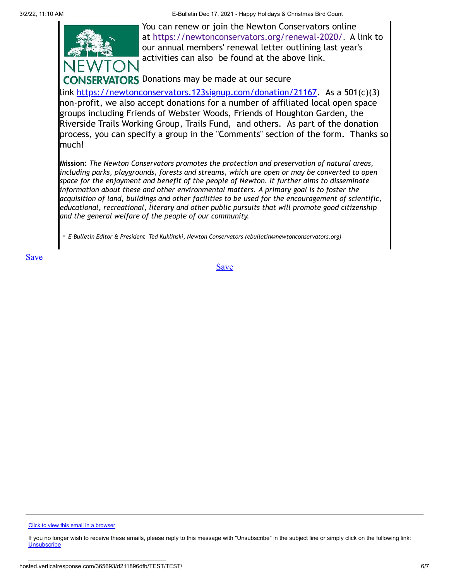3/2/22, 11:10 AM E-Bulletin Dec 17, 2021 - Happy Holidays & Christmas Bird Count



You can renew or join the Newton Conservators online at <https://newtonconservators.org/renewal-2020/>. A link to our annual members' renewal letter outlining last year's activities can also be found at the above link.

**ERVATORS** Donations may be made at our secure

link <https://newtonconservators.123signup.com/donation/21167>. As a 501(c)(3) non-profit, we also accept donations for a number of affiliated local open space groups including Friends of Webster Woods, Friends of Houghton Garden, the Riverside Trails Working Group, Trails Fund, and others. As part of the donation process, you can specify a group in the "Comments" section of the form. Thanks so much!

**Mission:** *The Newton Conservators promotes the protection and preservation of natural areas, including parks, playgrounds, forests and streams, which are open or may be converted to open space for the enjoyment and benefit of the people of Newton. It further aims to disseminate information about these and other environmental matters. A primary goal is to foster the acquisition of land, buildings and other facilities to be used for the encouragement of scientific, educational, recreational, literary and other public pursuits that will promote good citizenship and the general welfare of the people of our community.*

- *E-Bulletin Editor & President Ted Kuklinski, Newton Conservators (ebulletin@newtonconservators.org)*

[Save](https://app.verticalresponse.com/app/emails/builder/index/1635594337?page=build#)

[Click to view this email in a browser](http://hosted.verticalresponse.com/365693/d211896dfb/TEST/TEST/%7BVR_HOSTED_LINK%7D)

If you no longer wish to receive these emails, please reply to this message with "Unsubscribe" in the subject line or simply click on the following link: **[Unsubscribe](http://hosted.verticalresponse.com/365693/d211896dfb/TEST/TEST/%7BVR_UNSUB_LINK%7D)**